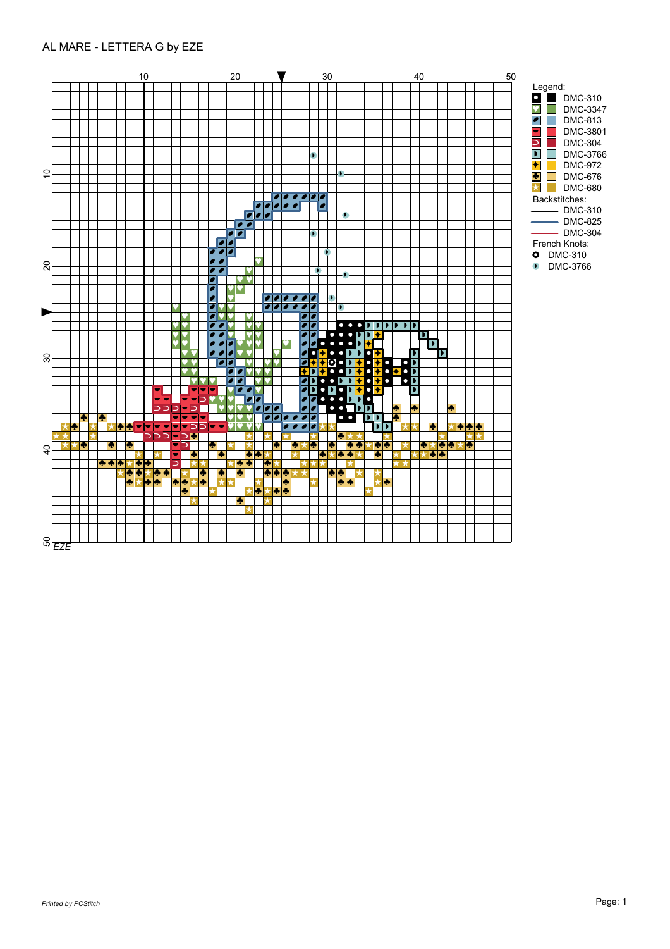## AL MARE - LETTERA G by EZE